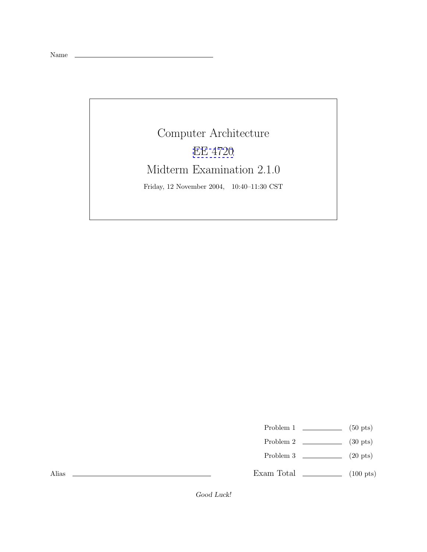Name

## Computer Architecture [EE 4720](http://www.ece.lsu.edu/ee4720/) Midterm Examination 2.1.0 Friday, 12 November 2004, 10:40–11:30 CST

Problem 1 (50 pts)

- Problem 2  $\qquad \qquad$  (30 pts)
- Problem 3  $\qquad \qquad (20 \text{ pts})$

Exam Total \_\_\_\_\_\_\_\_\_\_\_\_\_ (100 pts)

Alias

Good Luck!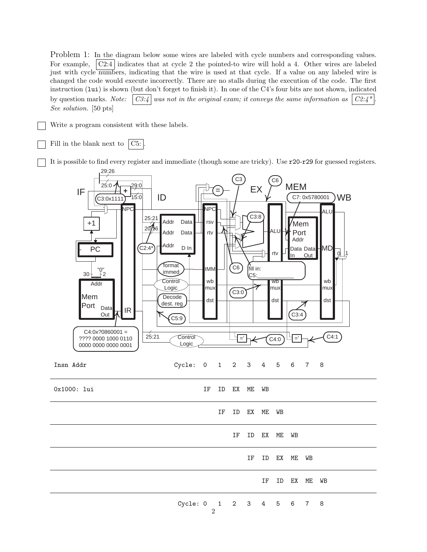Problem 1: In the diagram below some wires are labeled with cycle numbers and corresponding values. For example,  $\vert \text{C2:4} \vert$  indicates that at cycle 2 the pointed-to wire will hold a 4. Other wires are labeled just with cycle numbers, indicating that the wire is used at that cycle. If a value on any labeled wire is changed the code would execute incorrectly. There are no stalls during the execution of the code. The first instruction (lui) is shown (but don't forget to finish it). In one of the C4's four bits are not shown, indicated by question marks. *Note:*  $\begin{bmatrix} C3.4 \end{bmatrix}$  was not in the original exam; it conveys the same information as  $\begin{bmatrix} C2.4 \end{bmatrix}$ *See solution.* [50 pts]

- Write a program consistent with these labels.
- Fill in the blank next to  $|C5:$

It is possible to find every register and immediate (though some are tricky). Use r20-r29 for guessed registers.

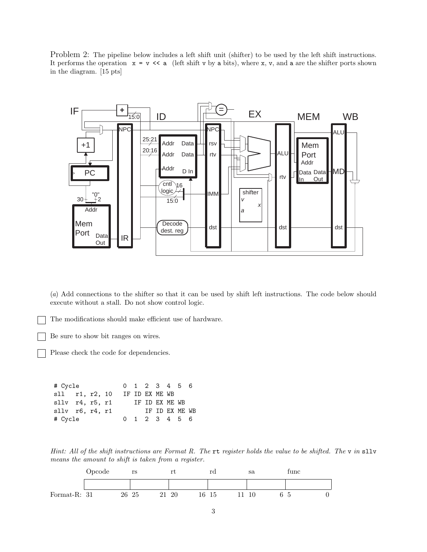Problem 2: The pipeline below includes a left shift unit (shifter) to be used by the left shift instructions. It performs the operation  $x = v \ll a$  (left shift v by a bits), where x, v, and a are the shifter ports shown in the diagram. [15 pts]



(*a*) Add connections to the shifter so that it can be used by shift left instructions. The code below should execute without a stall. Do not show control logic.

The modifications should make efficient use of hardware.

Be sure to show bit ranges on wires.

Please check the code for dependencies.

| # Cycle                   |  |  |  | 0 1 2 3 4 5 6  |               |                |  |  |
|---------------------------|--|--|--|----------------|---------------|----------------|--|--|
| sll r1, r2, 10            |  |  |  |                |               | IF ID EX ME WB |  |  |
| $sllv$ $r4$ , $r5$ , $r1$ |  |  |  | IF ID EX ME WB |               |                |  |  |
| $sllv$ r6, r4, r1         |  |  |  |                |               | IF ID EX ME WB |  |  |
| # Cycle                   |  |  |  |                | 0 1 2 3 4 5 6 |                |  |  |

*Hint: All of the shift instructions are Format R. The* rt *register holds the value to be shifted. The* v *in* sllv *means the amount to shift is taken from a register.*

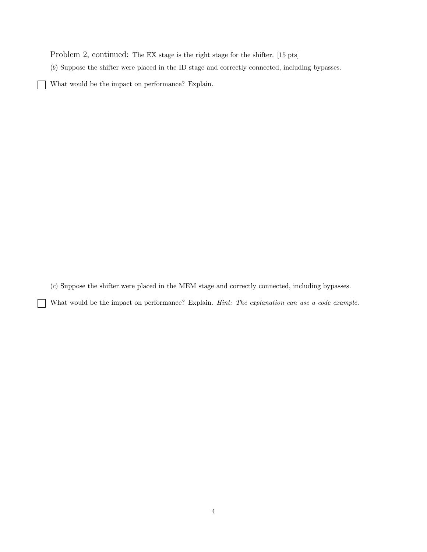Problem 2, continued: The EX stage is the right stage for the shifter. [15 pts]

(*b*) Suppose the shifter were placed in the ID stage and correctly connected, including bypasses.

What would be the impact on performance? Explain. ┓

 $\overline{\phantom{a}}$ 

 $\overline{\phantom{a}}$ 

(*c*) Suppose the shifter were placed in the MEM stage and correctly connected, including bypasses.

What would be the impact on performance? Explain. *Hint: The explanation can use a code example.*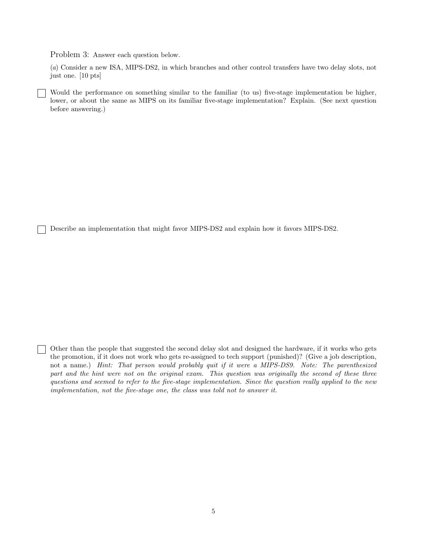Problem 3: Answer each question below.

(*a*) Consider a new ISA, MIPS-DS2, in which branches and other control transfers have two delay slots, not just one. [10 pts]

Would the performance on something similar to the familiar (to us) five-stage implementation be higher, lower, or about the same as MIPS on its familiar five-stage implementation? Explain. (See next question before answering.)

Describe an implementation that might favor MIPS-DS2 and explain how it favors MIPS-DS2.

Other than the people that suggested the second delay slot and designed the hardware, if it works who gets the promotion, if it does not work who gets re-assigned to tech support (punished)? (Give a job description, not a name.) *Hint: That person would probably quit if it were a MIPS-DS9. Note: The parenthesized part and the hint were not on the original exam. This question was originally the second of these three questions and seemed to refer to the five-stage implementation. Since the question really applied to the new implementation, not the five-stage one, the class was told not to answer it.*